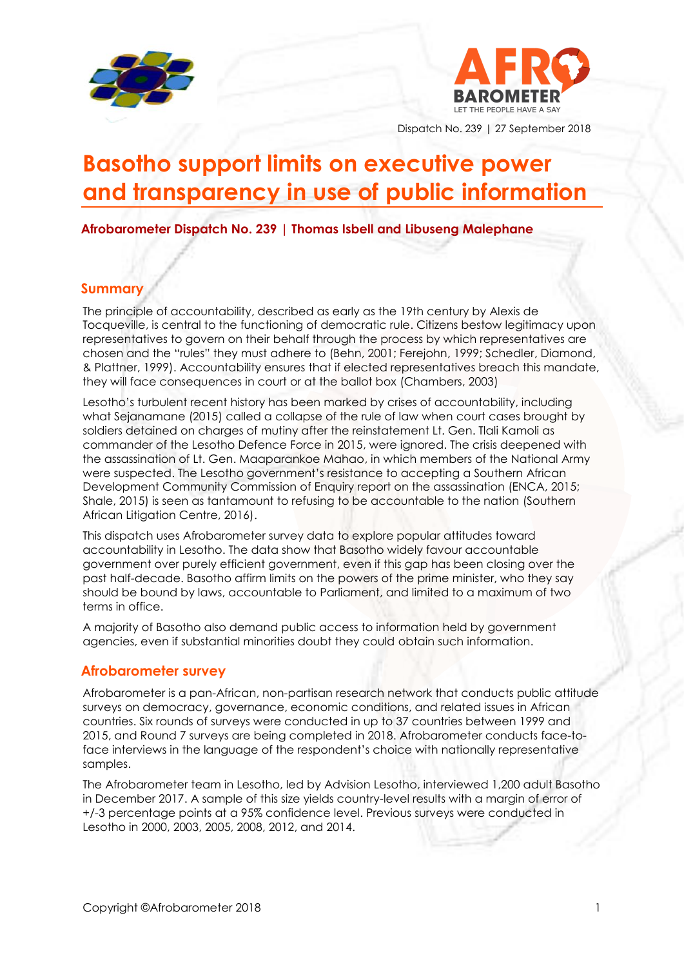



Dispatch No. 239 | 27 September 2018

# **Basotho support limits on executive power and transparency in use of public information**

**Afrobarometer Dispatch No. 239 | Thomas Isbell and Libuseng Malephane**

## **Summary**

The principle of accountability, described as early as the 19th century by Alexis de Tocqueville, is central to the functioning of democratic rule. Citizens bestow legitimacy upon representatives to govern on their behalf through the process by which representatives are chosen and the "rules" they must adhere to (Behn, 2001; Ferejohn, 1999; Schedler, Diamond, & Plattner, 1999). Accountability ensures that if elected representatives breach this mandate, they will face consequences in court or at the ballot box (Chambers, 2003)

Lesotho's turbulent recent history has been marked by crises of accountability, including what Sejanamane (2015) called a collapse of the rule of law when court cases brought by soldiers detained on charges of mutiny after the reinstatement Lt. Gen. Tlali Kamoli as commander of the Lesotho Defence Force in 2015, were ignored. The crisis deepened with the assassination of Lt. Gen. Maaparankoe Mahao, in which members of the National Army were suspected. The Lesotho government's resistance to accepting a Southern African Development Community Commission of Enquiry report on the assassination (ENCA, 2015; Shale, 2015) is seen as tantamount to refusing to be accountable to the nation (Southern African Litigation Centre, 2016).

This dispatch uses Afrobarometer survey data to explore popular attitudes toward accountability in Lesotho. The data show that Basotho widely favour accountable government over purely efficient government, even if this gap has been closing over the past half-decade. Basotho affirm limits on the powers of the prime minister, who they say should be bound by laws, accountable to Parliament, and limited to a maximum of two terms in office.

A majority of Basotho also demand public access to information held by government agencies, even if substantial minorities doubt they could obtain such information.

## **Afrobarometer survey**

Afrobarometer is a pan-African, non-partisan research network that conducts public attitude surveys on democracy, governance, economic conditions, and related issues in African countries. Six rounds of surveys were conducted in up to 37 countries between 1999 and 2015, and Round 7 surveys are being completed in 2018. Afrobarometer conducts face-toface interviews in the language of the respondent's choice with nationally representative samples.

The Afrobarometer team in Lesotho, led by Advision Lesotho, interviewed 1,200 adult Basotho in December 2017. A sample of this size yields country-level results with a margin of error of +/-3 percentage points at a 95% confidence level. Previous surveys were conducted in Lesotho in 2000, 2003, 2005, 2008, 2012, and 2014.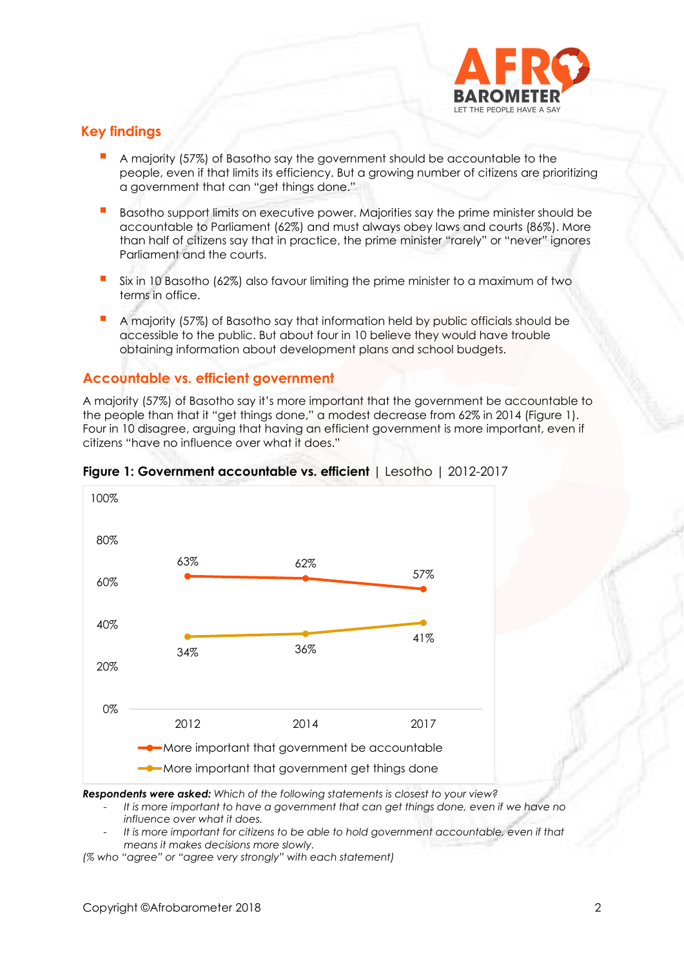

# **Key findings**

- A majority (57%) of Basotho say the government should be accountable to the people, even if that limits its efficiency. But a growing number of citizens are prioritizing a government that can "get things done."
- Basotho support limits on executive power. Majorities say the prime minister should be accountable to Parliament (62%) and must always obey laws and courts (86%). More than half of citizens say that in practice, the prime minister "rarely" or "never" ignores Parliament and the courts.
- Six in 10 Basotho (62%) also favour limiting the prime minister to a maximum of two terms in office.
- A majority (57%) of Basotho say that information held by public officials should be accessible to the public. But about four in 10 believe they would have trouble obtaining information about development plans and school budgets.

# **Accountable vs. efficient government**

A majority (57%) of Basotho say it's more important that the government be accountable to the people than that it "get things done," a modest decrease from 62% in 2014 (Figure 1). Four in 10 disagree, arguing that having an efficient government is more important, even if citizens "have no influence over what it does."



#### **Figure 1: Government accountable vs. efficient** | Lesotho | 2012-2017

*Respondents were asked: Which of the following statements is closest to your view?* 

- *It is more important to have a government that can get things done, even if we have no influence over what it does.*
- *It is more important for citizens to be able to hold government accountable, even if that means it makes decisions more slowly.*

*(% who "agree" or "agree very strongly" with each statement)*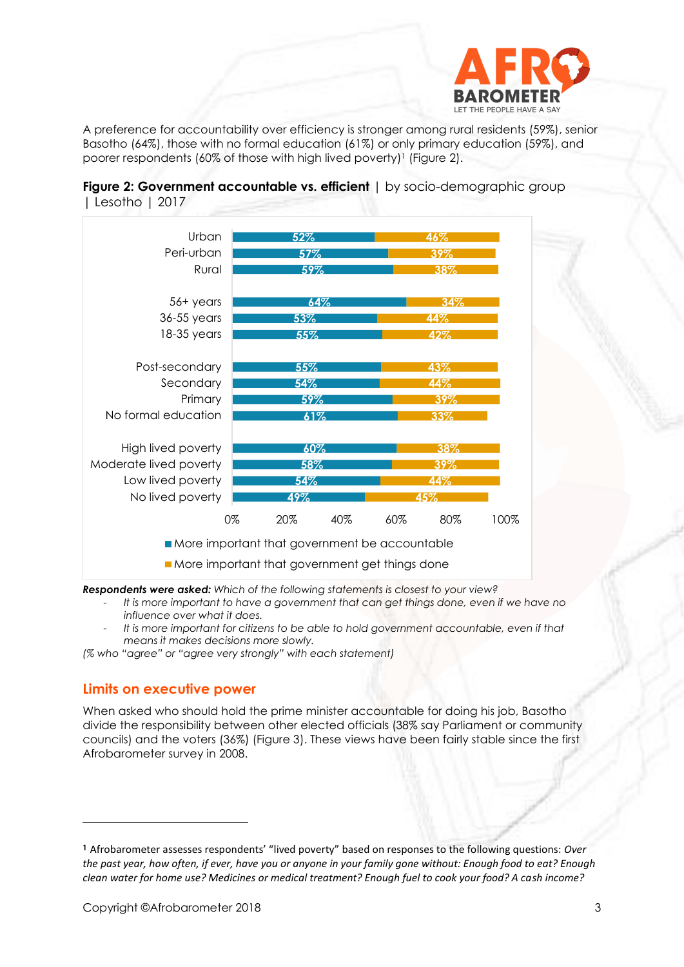

A preference for accountability over efficiency is stronger among rural residents (59%), senior Basotho (64%), those with no formal education (61%) or only primary education (59%), and poorer respondents (60% of those with high lived poverty) <sup>1</sup> (Figure 2).

**Figure 2: Government accountable vs. efficient** | by socio-demographic group | Lesotho | 2017



*Respondents were asked: Which of the following statements is closest to your view?* 

- *It is more important to have a government that can get things done, even if we have no influence over what it does.*
- *It is more important for citizens to be able to hold government accountable, even if that means it makes decisions more slowly.*

*(% who "agree" or "agree very strongly" with each statement)*

#### **Limits on executive power**

When asked who should hold the prime minister accountable for doing his job, Basotho divide the responsibility between other elected officials (38% say Parliament or community councils) and the voters (36%) (Figure 3). These views have been fairly stable since the first Afrobarometer survey in 2008.

**<sup>1</sup>** Afrobarometer assesses respondents' "lived poverty" based on responses to the following questions: *Over the past year, how often, if ever, have you or anyone in your family gone without: Enough food to eat? Enough clean water for home use? Medicines or medical treatment? Enough fuel to cook your food? A cash income?*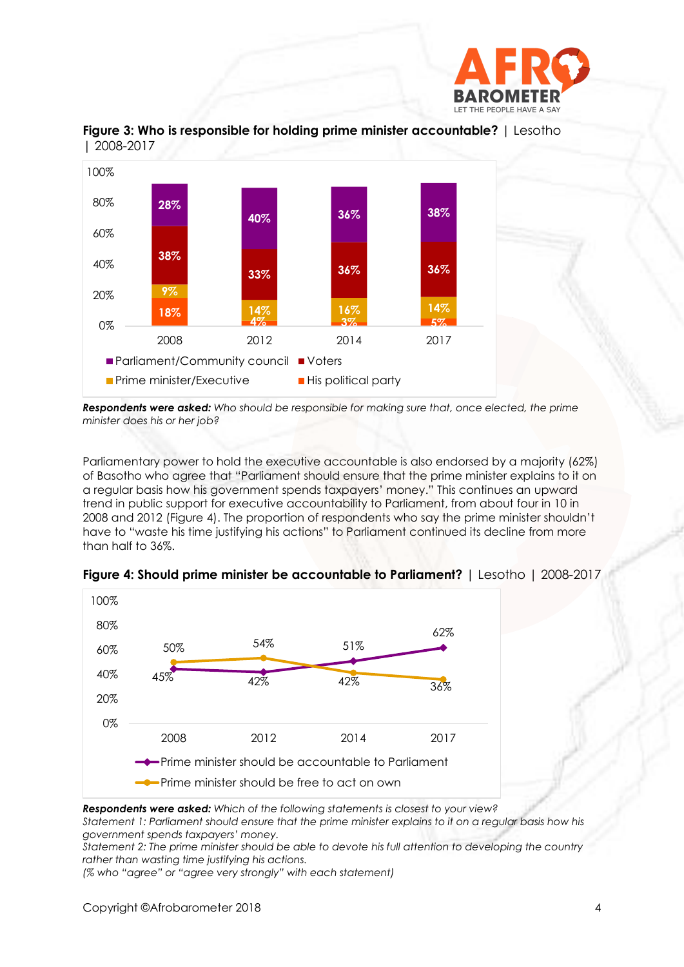





*Respondents were asked: Who should be responsible for making sure that, once elected, the prime minister does his or her job?*

Parliamentary power to hold the executive accountable is also endorsed by a majority (62%) of Basotho who agree that "Parliament should ensure that the prime minister explains to it on a regular basis how his government spends taxpayers' money." This continues an upward trend in public support for executive accountability to Parliament, from about four in 10 in 2008 and 2012 (Figure 4). The proportion of respondents who say the prime minister shouldn't have to "waste his time justifying his actions" to Parliament continued its decline from more than half to 36%.





*Respondents were asked: Which of the following statements is closest to your view?*

*Statement 1: Parliament should ensure that the prime minister explains to it on a regular basis how his government spends taxpayers' money.*

*Statement 2: The prime minister should be able to devote his full attention to developing the country rather than wasting time justifying his actions.*

*(% who "agree" or "agree very strongly" with each statement)*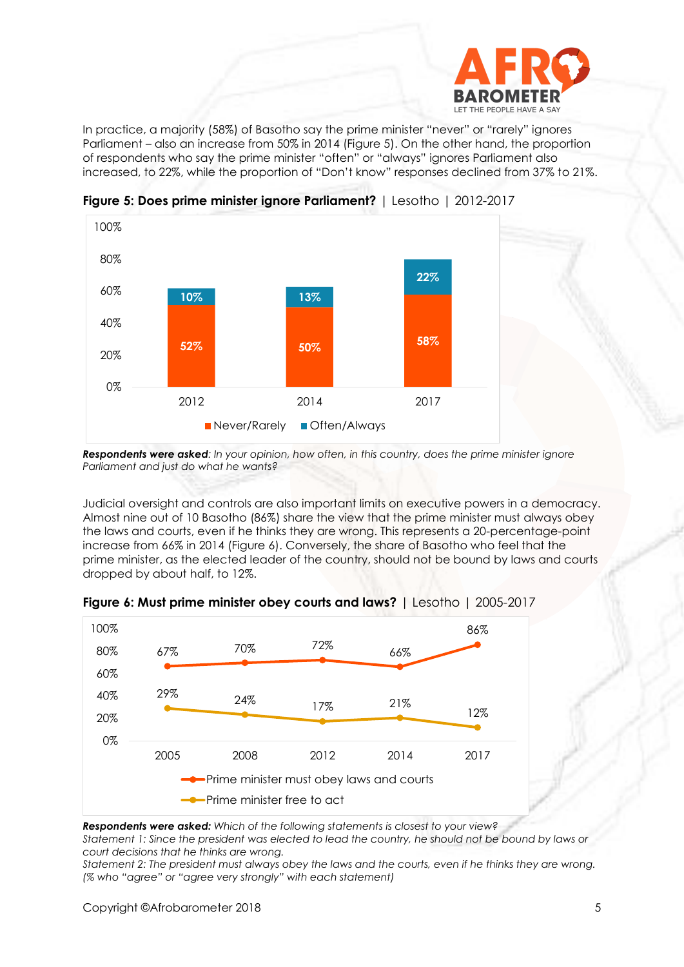

In practice, a majority (58%) of Basotho say the prime minister "never" or "rarely" ignores Parliament – also an increase from 50% in 2014 (Figure 5). On the other hand, the proportion of respondents who say the prime minister "often" or "always" ignores Parliament also increased, to 22%, while the proportion of "Don't know" responses declined from 37% to 21%.



**Figure 5: Does prime minister ignore Parliament?** | Lesotho | 2012-2017

*Respondents were asked: In your opinion, how often, in this country, does the prime minister ignore Parliament and just do what he wants?*

Judicial oversight and controls are also important limits on executive powers in a democracy. Almost nine out of 10 Basotho (86%) share the view that the prime minister must always obey the laws and courts, even if he thinks they are wrong. This represents a 20-percentage-point increase from 66% in 2014 (Figure 6). Conversely, the share of Basotho who feel that the prime minister, as the elected leader of the country, should not be bound by laws and courts dropped by about half, to 12%.



**Figure 6: Must prime minister obey courts and laws?** | Lesotho | 2005-2017

*Respondents were asked: Which of the following statements is closest to your view?*

*Statement 1: Since the president was elected to lead the country, he should not be bound by laws or court decisions that he thinks are wrong.* 

*Statement 2: The president must always obey the laws and the courts, even if he thinks they are wrong. (% who "agree" or "agree very strongly" with each statement)*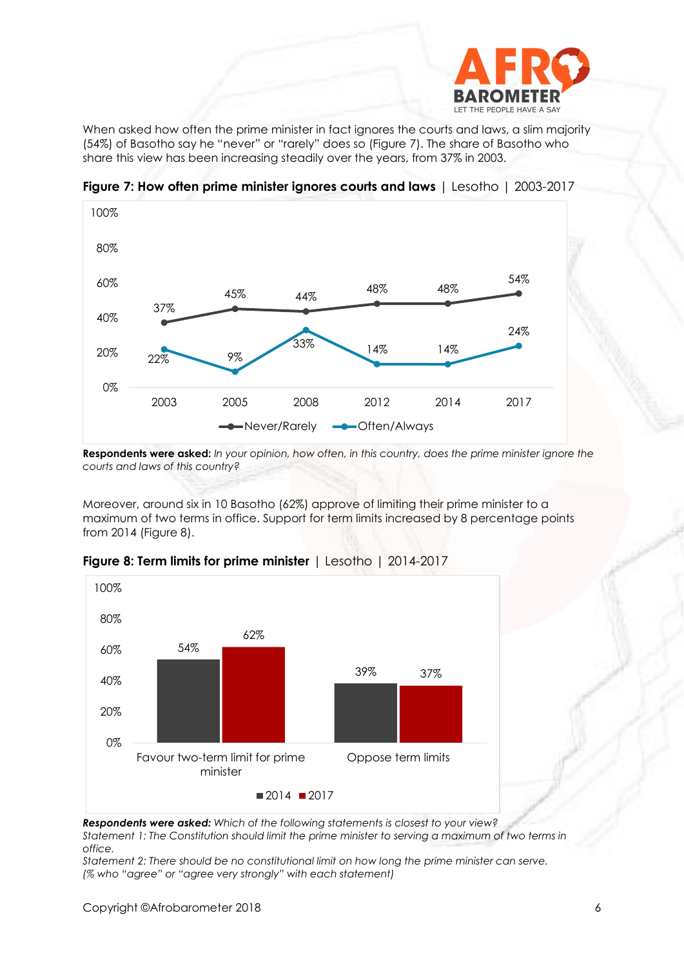

When asked how often the prime minister in fact ignores the courts and laws, a slim majority (54%) of Basotho say he "never" or "rarely" does so (Figure 7). The share of Basotho who share this view has been increasing steadily over the years, from 37% in 2003.



**Figure 7: How often prime minister ignores courts and laws** | Lesotho | 2003-2017

**Respondents were asked:** *In your opinion, how often, in this country, does the prime minister ignore the courts and laws of this country?*

Moreover, around six in 10 Basotho (62%) approve of limiting their prime minister to a maximum of two terms in office. Support for term limits increased by 8 percentage points from 2014 (Figure 8).



**Figure 8: Term limits for prime minister** | Lesotho | 2014-2017

*Respondents were asked: Which of the following statements is closest to your view? Statement 1: The Constitution should limit the prime minister to serving a maximum of two terms in office.*

*Statement 2: There should be no constitutional limit on how long the prime minister can serve. (% who "agree" or "agree very strongly" with each statement)*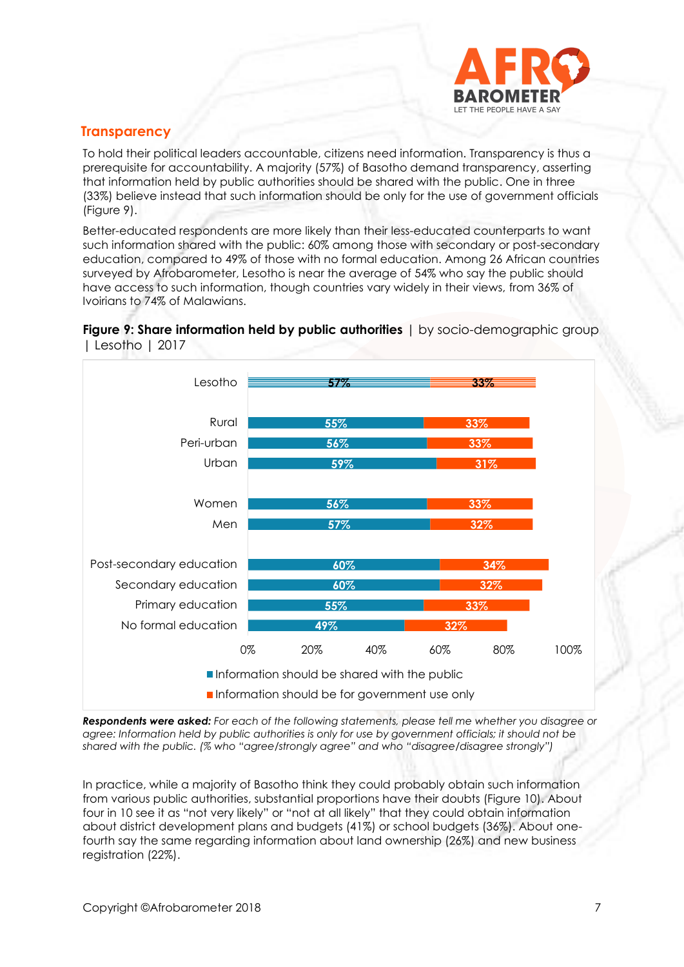

# **Transparency**

To hold their political leaders accountable, citizens need information. Transparency is thus a prerequisite for accountability. A majority (57%) of Basotho demand transparency, asserting that information held by public authorities should be shared with the public. One in three (33%) believe instead that such information should be only for the use of government officials (Figure 9).

Better-educated respondents are more likely than their less-educated counterparts to want such information shared with the public: 60% among those with secondary or post-secondary education, compared to 49% of those with no formal education. Among 26 African countries surveyed by Afrobarometer, Lesotho is near the average of 54% who say the public should have access to such information, though countries vary widely in their views, from 36% of Ivoirians to 74% of Malawians.





*Respondents were asked: For each of the following statements, please tell me whether you disagree or agree: Information held by public authorities is only for use by government officials; it should not be shared with the public. (% who "agree/strongly agree" and who "disagree/disagree strongly")*

In practice, while a majority of Basotho think they could probably obtain such information from various public authorities, substantial proportions have their doubts (Figure 10). About four in 10 see it as "not very likely" or "not at all likely" that they could obtain information about district development plans and budgets (41%) or school budgets (36%). About onefourth say the same regarding information about land ownership (26%) and new business registration (22%).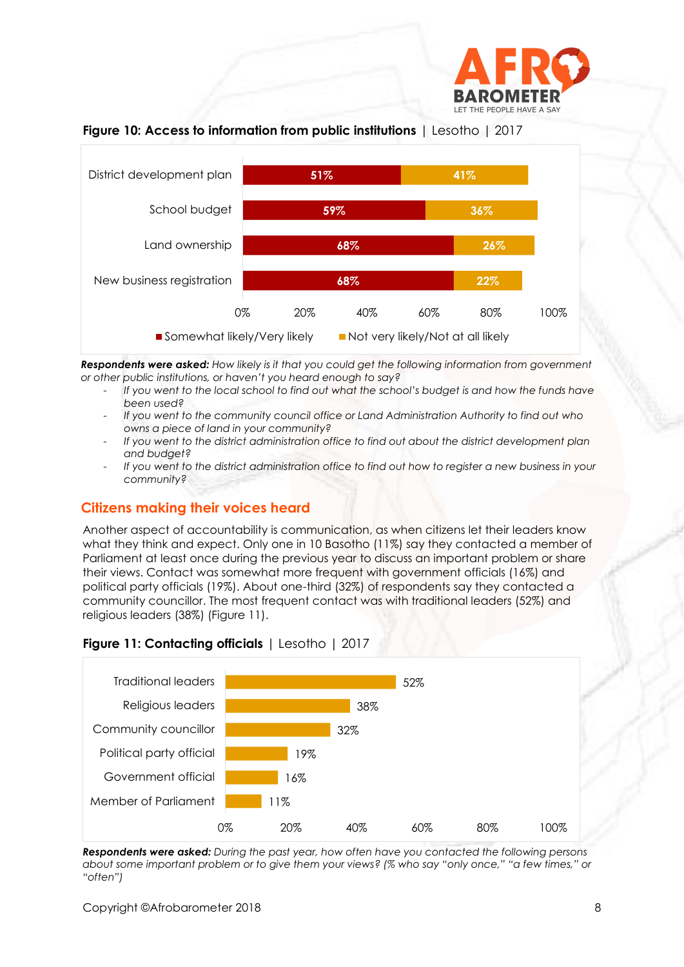



**Figure 10: Access to information from public institutions** | Lesotho | 2017

*Respondents were asked: How likely is it that you could get the following information from government or other public institutions, or haven't you heard enough to say?*

- *If you went to the local school to find out what the school's budget is and how the funds have been used?*
- *If you went to the community council office or Land Administration Authority to find out who owns a piece of land in your community?*
- If you went to the district administration office to find out about the district development plan *and budget?*
- If you went to the district administration office to find out how to register a new business in your *community?*

## **Citizens making their voices heard**

Another aspect of accountability is communication, as when citizens let their leaders know what they think and expect. Only one in 10 Basotho (11%) say they contacted a member of Parliament at least once during the previous year to discuss an important problem or share their views. Contact was somewhat more frequent with government officials (16%) and political party officials (19%). About one-third (32%) of respondents say they contacted a community councillor. The most frequent contact was with traditional leaders (52%) and religious leaders (38%) (Figure 11).

## **Figure 11: Contacting officials** | Lesotho | 2017



*Respondents were asked: During the past year, how often have you contacted the following persons about some important problem or to give them your views? (% who say "only once," "a few times," or "often")*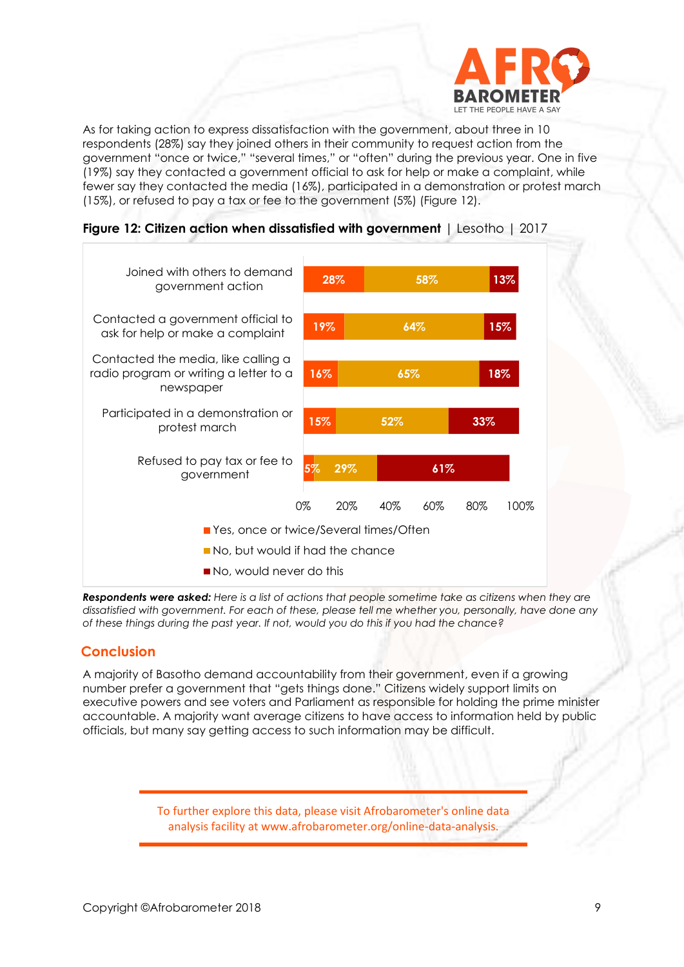

As for taking action to express dissatisfaction with the government, about three in 10 respondents (28%) say they joined others in their community to request action from the government "once or twice," "several times," or "often" during the previous year. One in five (19%) say they contacted a government official to ask for help or make a complaint, while fewer say they contacted the media (16%), participated in a demonstration or protest march (15%), or refused to pay a tax or fee to the government (5%) (Figure 12).



#### **Figure 12: Citizen action when dissatisfied with government** | Lesotho | 2017

*Respondents were asked: Here is a list of actions that people sometime take as citizens when they are dissatisfied with government. For each of these, please tell me whether you, personally, have done any of these things during the past year. If not, would you do this if you had the chance?*

## **Conclusion**

A majority of Basotho demand accountability from their government, even if a growing number prefer a government that "gets things done." Citizens widely support limits on executive powers and see voters and Parliament as responsible for holding the prime minister accountable. A majority want average citizens to have access to information held by public officials, but many say getting access to such information may be difficult.

> To further explore this data, please visit Afrobarometer's online data analysis facility at www.afrobarometer.org/online-data-analysis.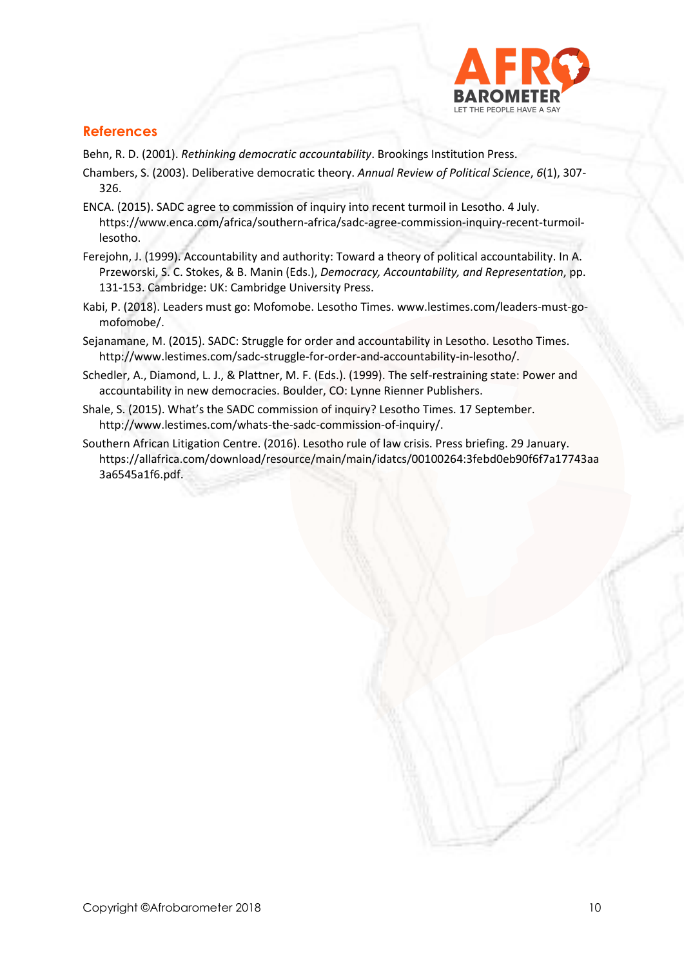

# **References**

Behn, R. D. (2001). *Rethinking democratic accountability*. Brookings Institution Press.

- Chambers, S. (2003). Deliberative democratic theory. *Annual Review of Political Science*, *6*(1), 307- 326.
- ENCA. (2015). SADC agree to commission of inquiry into recent turmoil in Lesotho. 4 July. https://www.enca.com/africa/southern-africa/sadc-agree-commission-inquiry-recent-turmoillesotho.
- Ferejohn, J. (1999). Accountability and authority: Toward a theory of political accountability. In A. Przeworski, S. C. Stokes, & B. Manin (Eds.), *Democracy, Accountability, and Representation*, pp. 131-153. Cambridge: UK: Cambridge University Press.
- Kabi, P. (2018). Leaders must go: Mofomobe. Lesotho Times[. www.lestimes.com/leaders-must-go](http://www.lestimes.com/leaders-must-go-mofomobe/)[mofomobe/.](http://www.lestimes.com/leaders-must-go-mofomobe/)
- Sejanamane, M. (2015). SADC: Struggle for order and accountability in Lesotho. Lesotho Times. [http://www.lestimes.com/sadc-struggle-for-order-and-accountability-in-lesotho/.](http://www.lestimes.com/sadc-struggle-for-order-and-accountability-in-lesotho/)
- Schedler, A., Diamond, L. J., & Plattner, M. F. (Eds.). (1999). The self-restraining state: Power and accountability in new democracies. Boulder, CO: Lynne Rienner Publishers.
- Shale, S. (2015). What's the SADC commission of inquiry? Lesotho Times. 17 September. http://www.lestimes.com/whats-the-sadc-commission-of-inquiry/.
- Southern African Litigation Centre. (2016). Lesotho rule of law crisis. Press briefing. 29 January. [https://allafrica.com/download/resource/main/main/idatcs/00100264:3febd0eb90f6f7a17743aa](https://allafrica.com/download/resource/main/main/idatcs/00100264:3febd0eb90f6f7a17743aa3a6545a1f6.pdf) [3a6545a1f6.pdf.](https://allafrica.com/download/resource/main/main/idatcs/00100264:3febd0eb90f6f7a17743aa3a6545a1f6.pdf)